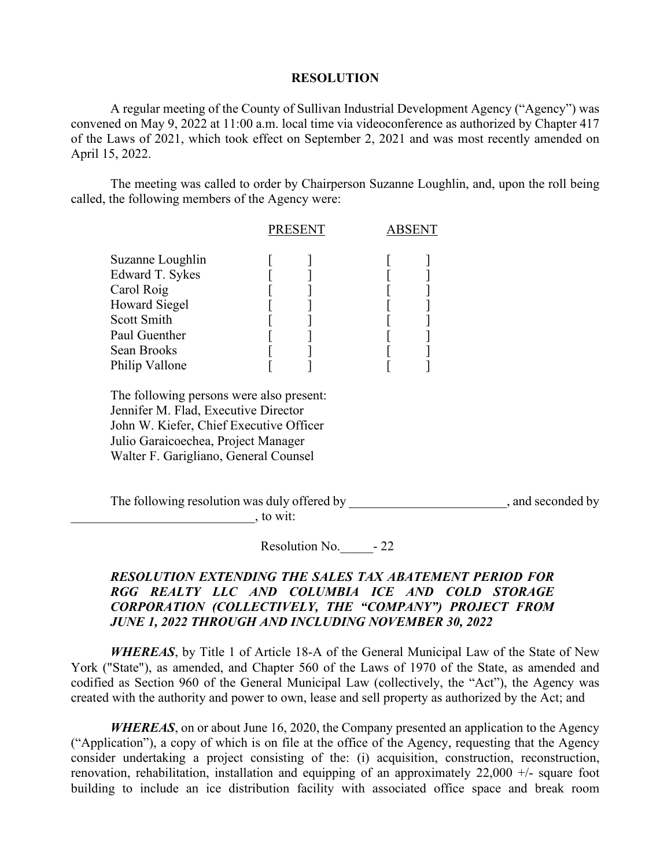## **RESOLUTION**

A regular meeting of the County of Sullivan Industrial Development Agency ("Agency") was convened on May 9, 2022 at 11:00 a.m. local time via videoconference as authorized by Chapter 417 of the Laws of 2021, which took effect on September 2, 2021 and was most recently amended on April 15, 2022.

The meeting was called to order by Chairperson Suzanne Loughlin, and, upon the roll being called, the following members of the Agency were:

|                                     | <b>PRESENT</b> |  | ABSENT |  |
|-------------------------------------|----------------|--|--------|--|
| Suzanne Loughlin<br>Edward T. Sykes |                |  |        |  |
| Carol Roig                          |                |  |        |  |
| <b>Howard Siegel</b><br>Scott Smith |                |  |        |  |
| Paul Guenther<br>Sean Brooks        |                |  |        |  |
| Philip Vallone                      |                |  |        |  |

The following persons were also present: Jennifer M. Flad, Executive Director John W. Kiefer, Chief Executive Officer Julio Garaicoechea, Project Manager Walter F. Garigliano, General Counsel

The following resolution was duly offered by  $\Box$ , and seconded by  $\sim$ , to wit:

Resolution No.  $-22$ 

## *RESOLUTION EXTENDING THE SALES TAX ABATEMENT PERIOD FOR RGG REALTY LLC AND COLUMBIA ICE AND COLD STORAGE CORPORATION (COLLECTIVELY, THE "COMPANY") PROJECT FROM JUNE 1, 2022 THROUGH AND INCLUDING NOVEMBER 30, 2022*

*WHEREAS*, by Title 1 of Article 18-A of the General Municipal Law of the State of New York ("State"), as amended, and Chapter 560 of the Laws of 1970 of the State, as amended and codified as Section 960 of the General Municipal Law (collectively, the "Act"), the Agency was created with the authority and power to own, lease and sell property as authorized by the Act; and

*WHEREAS*, on or about June 16, 2020, the Company presented an application to the Agency ("Application"), a copy of which is on file at the office of the Agency, requesting that the Agency consider undertaking a project consisting of the: (i) acquisition, construction, reconstruction, renovation, rehabilitation, installation and equipping of an approximately 22,000 +/- square foot building to include an ice distribution facility with associated office space and break room